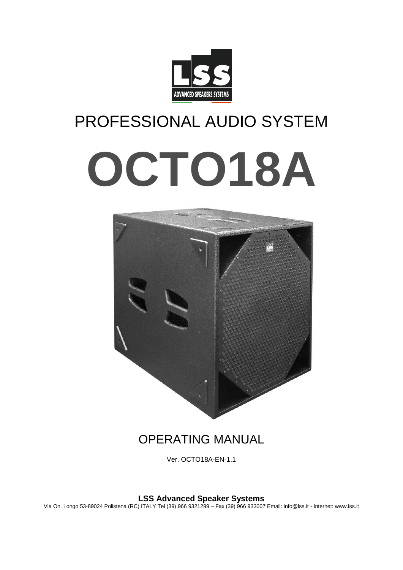

# PROFESSIONAL AUDIO SYSTEM

# **OCTO18A**



# OPERATING MANUAL

Ver. OCTO18A-EN-1.1

**LSS Advanced Speaker Systems**

Via On. Longo 53-89024 Polistena (RC) ITALY Tel (39) 966 9321299 – Fax (39) 966 933007 Email: info@lss.it - Internet: www.lss.it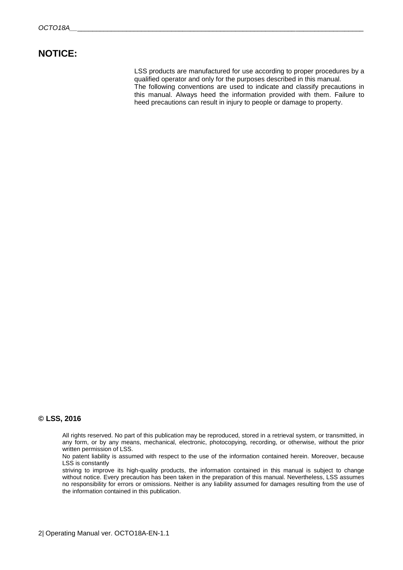### **NOTICE:**

LSS products are manufactured for use according to proper procedures by a qualified operator and only for the purposes described in this manual. The following conventions are used to indicate and classify precautions in this manual. Always heed the information provided with them. Failure to heed precautions can result in injury to people or damage to property.

### **© LSS, 2016**

All rights reserved. No part of this publication may be reproduced, stored in a retrieval system, or transmitted, in any form, or by any means, mechanical, electronic, photocopying, recording, or otherwise, without the prior written permission of LSS.

No patent liability is assumed with respect to the use of the information contained herein. Moreover, because LSS is constantly

striving to improve its high-quality products, the information contained in this manual is subject to change without notice. Every precaution has been taken in the preparation of this manual. Nevertheless, LSS assumes no responsibility for errors or omissions. Neither is any liability assumed for damages resulting from the use of the information contained in this publication.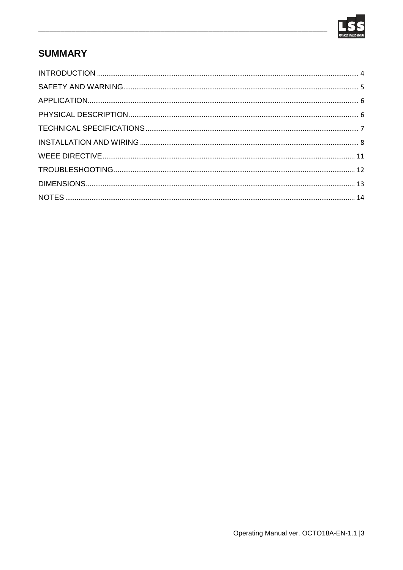

# **SUMMARY**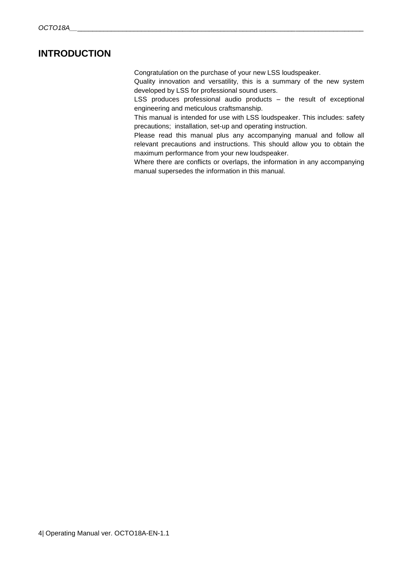## <span id="page-3-0"></span>**INTRODUCTION**

Congratulation on the purchase of your new LSS loudspeaker.

Quality innovation and versatility, this is a summary of the new system developed by LSS for professional sound users.

LSS produces professional audio products – the result of exceptional engineering and meticulous craftsmanship.

This manual is intended for use with LSS loudspeaker. This includes: safety precautions; installation, set-up and operating instruction.

Please read this manual plus any accompanying manual and follow all relevant precautions and instructions. This should allow you to obtain the maximum performance from your new loudspeaker.

Where there are conflicts or overlaps, the information in any accompanying manual supersedes the information in this manual.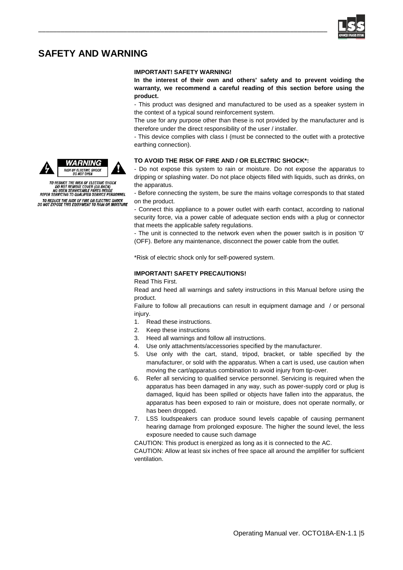

# <span id="page-4-0"></span>**SAFETY AND WARNING**

### **IMPORTANT! SAFETY WARNING!**

\_\_\_\_\_\_\_\_\_\_\_\_\_\_\_\_\_\_\_\_\_\_\_\_\_\_\_\_\_\_\_\_\_\_\_\_\_\_\_\_\_\_\_\_\_\_\_\_\_\_\_\_\_\_\_\_\_\_\_\_\_\_\_\_\_\_\_\_\_\_\_\_\_\_\_\_\_\_

**In the interest of their own and others' safety and to prevent voiding the warranty, we recommend a careful reading of this section before using the product.**

- This product was designed and manufactured to be used as a speaker system in the context of a typical sound reinforcement system.

The use for any purpose other than these is not provided by the manufacturer and is therefore under the direct responsibility of the user / installer.

- This device complies with class I (must be connected to the outlet with a protective earthing connection).

### **TO AVOID THE RISK OF FIRE AND / OR ELECTRIC SHOCK\*:**

- Do not expose this system to rain or moisture. Do not expose the apparatus to dripping or splashing water. Do not place objects filled with liquids, such as drinks, on the apparatus.

- Before connecting the system, be sure the mains voltage corresponds to that stated on the product.

- Connect this appliance to a power outlet with earth contact, according to national security force, via a power cable of adequate section ends with a plug or connector that meets the applicable safety regulations.

- The unit is connected to the network even when the power switch is in position '0' (OFF). Before any maintenance, disconnect the power cable from the outlet.

\*Risk of electric shock only for self-powered system.

### **IMPORTANT! SAFETY PRECAUTIONS!**

Read This First.

Read and heed all warnings and safety instructions in this Manual before using the product.

Failure to follow all precautions can result in equipment damage and / or personal injury.

- 1. Read these instructions.
- 2. Keep these instructions
- 3. Heed all warnings and follow all instructions.
- 4. Use only attachments/accessories specified by the manufacturer.
- 5. Use only with the cart, stand, tripod, bracket, or table specified by the manufacturer, or sold with the apparatus. When a cart is used, use caution when moving the cart/apparatus combination to avoid injury from tip-over.
- 6. Refer all servicing to qualified service personnel. Servicing is required when the apparatus has been damaged in any way, such as power-supply cord or plug is damaged, liquid has been spilled or objects have fallen into the apparatus, the apparatus has been exposed to rain or moisture, does not operate normally, or has been dropped.
- 7. LSS loudspeakers can produce sound levels capable of causing permanent hearing damage from prolonged exposure. The higher the sound level, the less exposure needed to cause such damage

CAUTION: This product is energized as long as it is connected to the AC.

CAUTION: Allow at least six inches of free space all around the amplifier for sufficient ventilation.





TO REDUCE THE RISK OF ELECTRIC SHOCK<br>DO NOT REMOVE COVER (OR BACK)<br>NO USER SERVICEABLE PARTS INSIDE<br>REFER SERVICING TO QUALIFIED SERVICE PERSONNEL TO REDUCE THE RISK OF FIRE OR ELECTRIC SHOCK<br>DO NOT EXPOSE THIS EQUIPMENT TO RAIN OR MOISTURE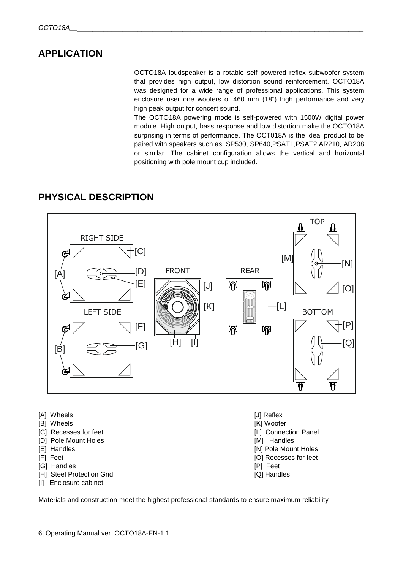# <span id="page-5-0"></span>**APPLICATION**

OCTO18A loudspeaker is a rotable self powered reflex subwoofer system that provides high output, low distortion sound reinforcement. OCTO18A was designed for a wide range of professional applications. This system enclosure user one woofers of 460 mm (18") high performance and very high peak output for concert sound.

The OCTO18A powering mode is self-powered with 1500W digital power module. High output, bass response and low distortion make the OCTO18A surprising in terms of performance. The OCT018A is the ideal product to be paired with speakers such as, SP530, SP640,PSAT1,PSAT2,AR210, AR208 or similar. The cabinet configuration allows the vertical and horizontal positioning with pole mount cup included.

# <span id="page-5-1"></span>**PHYSICAL DESCRIPTION**



- [A] Wheels [J] Reflex
- [B] Wheels [K] Woofer [K] Woofer [K] Woofer [K] Woofer [K] Woofer [K] Woofer [K] Woofer [K] Woofer [K]  $\sim$
- [C] Recesses for feet **[C]** Recesses for feet **and the connection Panel [L]** Connection Panel
- [D] Pole Mount Holes [M] Handles
- 
- 
- [G] Handles [P] Feet
- [H] Steel Protection Grid [Q] Handles
- [I] Enclosure cabinet
- 
- 
- 
- 
- **IEI Handles EXECUTE: IEI** Handles **CONSUMER AND THE INCOMENTATION**
- [F] Feet [O] Recesses for feet
	-
	-

Materials and construction meet the highest professional standards to ensure maximum reliability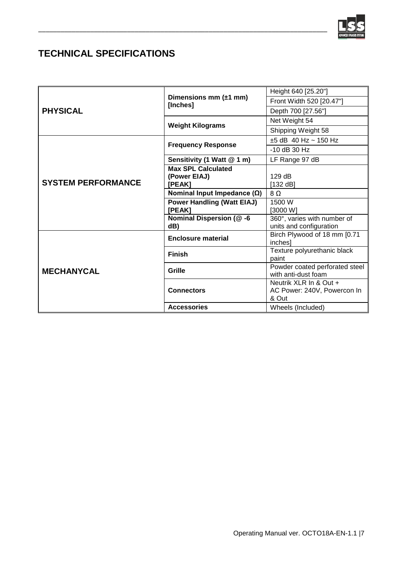

# <span id="page-6-0"></span>**TECHNICAL SPECIFICATIONS**

| <b>PHYSICAL</b>           | Dimensions mm $(\pm 1$ mm)<br>[Inches] | Height 640 [25.20"]                                   |
|---------------------------|----------------------------------------|-------------------------------------------------------|
|                           |                                        | Front Width 520 [20.47"]                              |
|                           |                                        | Depth 700 [27.56"]                                    |
|                           | <b>Weight Kilograms</b>                | Net Weight 54                                         |
|                           |                                        | Shipping Weight 58                                    |
| <b>SYSTEM PERFORMANCE</b> | <b>Frequency Response</b>              | $±5$ dB 40 Hz ~ 150 Hz                                |
|                           |                                        | $-10$ dB 30 Hz                                        |
|                           | Sensitivity (1 Watt @ 1 m)             | LF Range 97 dB                                        |
|                           | <b>Max SPL Calculated</b>              |                                                       |
|                           | (Power EIAJ)                           | 129dB                                                 |
|                           | [PEAK]                                 | [132 dB]                                              |
|                           | Nominal Input Impedance $(\Omega)$     | $8\Omega$                                             |
|                           | <b>Power Handling (Watt EIAJ)</b>      | 1500 W                                                |
|                           | [PEAK]                                 | [3000 W]                                              |
|                           | Nominal Dispersion (@-6                | 360°, varies with number of                           |
|                           | dB)                                    | units and configuration                               |
| <b>MECHANYCAL</b>         | <b>Enclosure material</b>              | Birch Plywood of 18 mm [0.71<br>inches]               |
|                           | <b>Finish</b>                          | Texture polyurethanic black<br>paint                  |
|                           | Grille                                 | Powder coated perforated steel<br>with anti-dust foam |
|                           |                                        | Neutrik XLR In & Out +                                |
|                           | <b>Connectors</b>                      | AC Power: 240V, Powercon In<br>& Out                  |
|                           | <b>Accessories</b>                     | Wheels (Included)                                     |

\_\_\_\_\_\_\_\_\_\_\_\_\_\_\_\_\_\_\_\_\_\_\_\_\_\_\_\_\_\_\_\_\_\_\_\_\_\_\_\_\_\_\_\_\_\_\_\_\_\_\_\_\_\_\_\_\_\_\_\_\_\_\_\_\_\_\_\_\_\_\_\_\_\_\_\_\_\_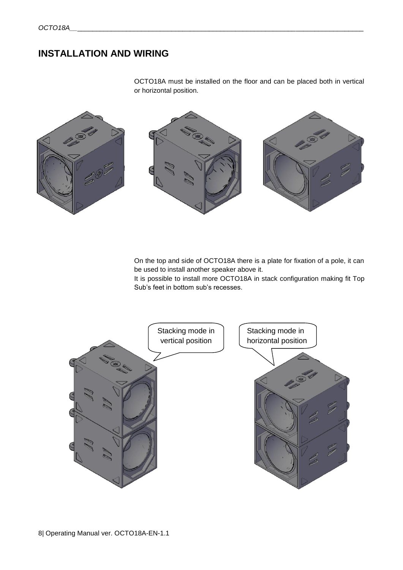# <span id="page-7-0"></span>**INSTALLATION AND WIRING**

OCTO18A must be installed on the floor and can be placed both in vertical or horizontal position.



On the top and side of OCTO18A there is a plate for fixation of a pole, it can be used to install another speaker above it.

It is possible to install more OCTO18A in stack configuration making fit Top Sub's feet in bottom sub's recesses.

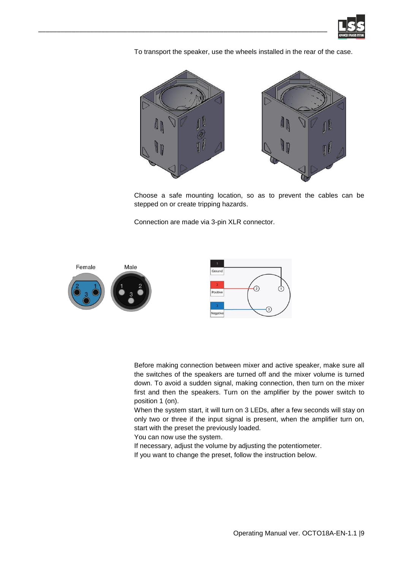

To transport the speaker, use the wheels installed in the rear of the case.



Choose a safe mounting location, so as to prevent the cables can be stepped on or create tripping hazards.

Connection are made via 3-pin XLR connector.



\_\_\_\_\_\_\_\_\_\_\_\_\_\_\_\_\_\_\_\_\_\_\_\_\_\_\_\_\_\_\_\_\_\_\_\_\_\_\_\_\_\_\_\_\_\_\_\_\_\_\_\_\_\_\_\_\_\_\_\_\_\_\_\_\_\_\_\_\_\_\_\_\_\_\_\_\_\_

Before making connection between mixer and active speaker, make sure all the switches of the speakers are turned off and the mixer volume is turned down. To avoid a sudden signal, making connection, then turn on the mixer first and then the speakers. Turn on the amplifier by the power switch to position 1 (on).

When the system start, it will turn on 3 LEDs, after a few seconds will stay on only two or three if the input signal is present, when the amplifier turn on, start with the preset the previously loaded.

You can now use the system.

If necessary, adjust the volume by adjusting the potentiometer.

If you want to change the preset, follow the instruction below.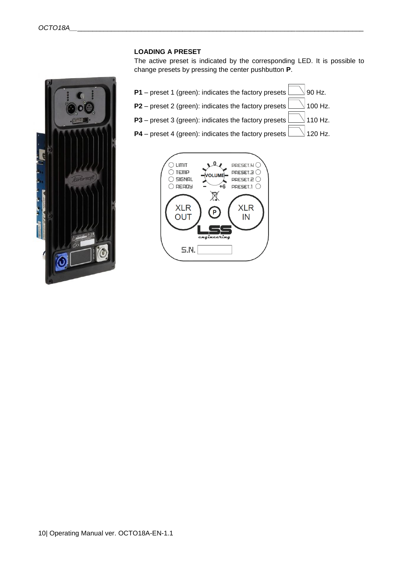

### **LOADING A PRESET**

The active preset is indicated by the corresponding LED. It is possible to change presets by pressing the center pushbutton **P**.

**P1** – preset 1 (green): indicates the factory presets  $\Box$  90 Hz. **P2** – preset 2 (green): indicates the factory presets  $\Box$  100 Hz. **P3** – preset 3 (green): indicates the factory presets  $\Box$  110 Hz. **P4** – preset 4 (green): indicates the factory presets  $\Box$  120 Hz.

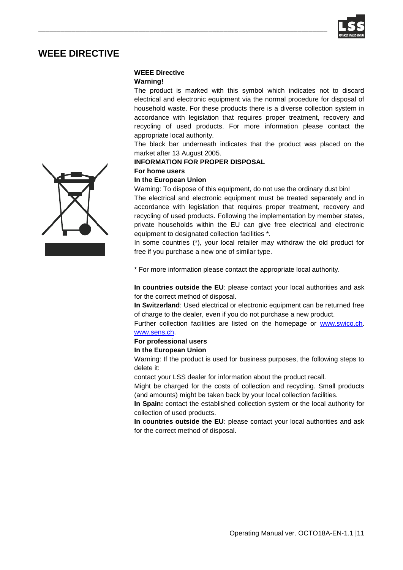

# <span id="page-10-0"></span>**WEEE DIRECTIVE**

### **WEEE Directive**

\_\_\_\_\_\_\_\_\_\_\_\_\_\_\_\_\_\_\_\_\_\_\_\_\_\_\_\_\_\_\_\_\_\_\_\_\_\_\_\_\_\_\_\_\_\_\_\_\_\_\_\_\_\_\_\_\_\_\_\_\_\_\_\_\_\_\_\_\_\_\_\_\_\_\_\_\_\_

### **Warning!**

The product is marked with this symbol which indicates not to discard electrical and electronic equipment via the normal procedure for disposal of household waste. For these products there is a diverse collection system in accordance with legislation that requires proper treatment, recovery and recycling of used products. For more information please contact the appropriate local authority.

The black bar underneath indicates that the product was placed on the market after 13 August 2005.

### **INFORMATION FOR PROPER DISPOSAL**

### **For home users**

### **In the European Union**

Warning: To dispose of this equipment, do not use the ordinary dust bin!

The electrical and electronic equipment must be treated separately and in accordance with legislation that requires proper treatment, recovery and recycling of used products. Following the implementation by member states, private households within the EU can give free electrical and electronic equipment to designated collection facilities \*.

In some countries (\*), your local retailer may withdraw the old product for free if you purchase a new one of similar type.

\* For more information please contact the appropriate local authority.

**In countries outside the EU**: please contact your local authorities and ask for the correct method of disposal.

**In Switzerland**: Used electrical or electronic equipment can be returned free of charge to the dealer, even if you do not purchase a new product.

Further collection facilities are listed on the homepage or [www.swico.ch.](http://www.swico.ch/) [www.sens.ch.](http://www.sens.ch/) 

### **For professional users**

### **In the European Union**

Warning: If the product is used for business purposes, the following steps to delete it:

contact your LSS dealer for information about the product recall.

Might be charged for the costs of collection and recycling. Small products (and amounts) might be taken back by your local collection facilities.

**In Spain:** contact the established collection system or the local authority for collection of used products.

**In countries outside the EU**: please contact your local authorities and ask for the correct method of disposal.

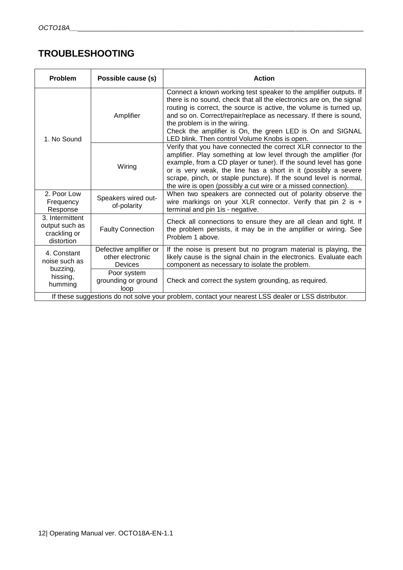# <span id="page-11-0"></span>**TROUBLESHOOTING**

| <b>Problem</b>                                                                                      | Possible cause (s)                                    | <b>Action</b>                                                                                                                                                                                                                                                                                                                                                                                                                        |  |
|-----------------------------------------------------------------------------------------------------|-------------------------------------------------------|--------------------------------------------------------------------------------------------------------------------------------------------------------------------------------------------------------------------------------------------------------------------------------------------------------------------------------------------------------------------------------------------------------------------------------------|--|
| 1. No Sound                                                                                         | Amplifier                                             | Connect a known working test speaker to the amplifier outputs. If<br>there is no sound, check that all the electronics are on, the signal<br>routing is correct, the source is active, the volume is turned up,<br>and so on. Correct/repair/replace as necessary. If there is sound,<br>the problem is in the wiring.<br>Check the amplifier is On, the green LED is On and SIGNAL<br>LED blink. Then control Volume Knobs is open. |  |
|                                                                                                     | Wiring                                                | Verify that you have connected the correct XLR connector to the<br>amplifier. Play something at low level through the amplifier (for<br>example, from a CD player or tuner). If the sound level has gone<br>or is very weak, the line has a short in it (possibly a severe<br>scrape, pinch, or staple puncture). If the sound level is normal,<br>the wire is open (possibly a cut wire or a missed connection).                    |  |
| 2. Poor Low<br>Frequency<br>Response                                                                | Speakers wired out-<br>of-polarity                    | When two speakers are connected out of polarity observe the<br>wire markings on your XLR connector. Verify that pin 2 is $+$<br>terminal and pin 1 is - negative.                                                                                                                                                                                                                                                                    |  |
| 3. Intermittent<br>output such as<br>crackling or<br>distortion                                     | <b>Faulty Connection</b>                              | Check all connections to ensure they are all clean and tight. If<br>the problem persists, it may be in the amplifier or wiring. See<br>Problem 1 above.                                                                                                                                                                                                                                                                              |  |
| 4. Constant<br>noise such as<br>buzzing,<br>hissing,<br>humming                                     | Defective amplifier or<br>other electronic<br>Devices | If the noise is present but no program material is playing, the<br>likely cause is the signal chain in the electronics. Evaluate each<br>component as necessary to isolate the problem.                                                                                                                                                                                                                                              |  |
|                                                                                                     | Poor system<br>grounding or ground<br>loop            | Check and correct the system grounding, as required.                                                                                                                                                                                                                                                                                                                                                                                 |  |
| If these suggestions do not solve your problem, contact your nearest LSS dealer or LSS distributor. |                                                       |                                                                                                                                                                                                                                                                                                                                                                                                                                      |  |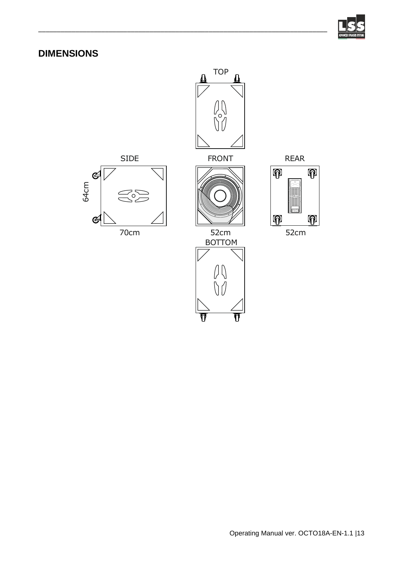

# <span id="page-12-0"></span>**DIMENSIONS**



\_\_\_\_\_\_\_\_\_\_\_\_\_\_\_\_\_\_\_\_\_\_\_\_\_\_\_\_\_\_\_\_\_\_\_\_\_\_\_\_\_\_\_\_\_\_\_\_\_\_\_\_\_\_\_\_\_\_\_\_\_\_\_\_\_\_\_\_\_\_\_\_\_\_\_\_\_\_



70cm 52cm 52cm



**BOTTOM** 

ក

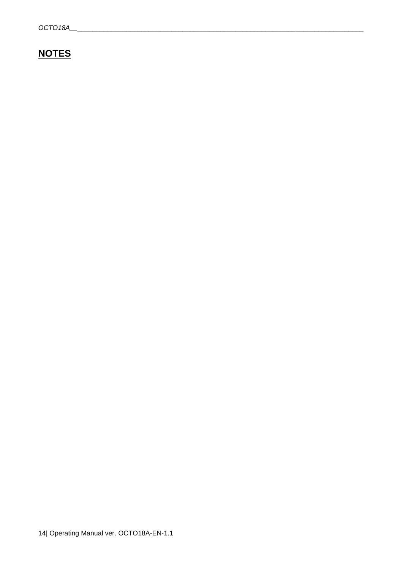# <span id="page-13-0"></span>**NOTES**